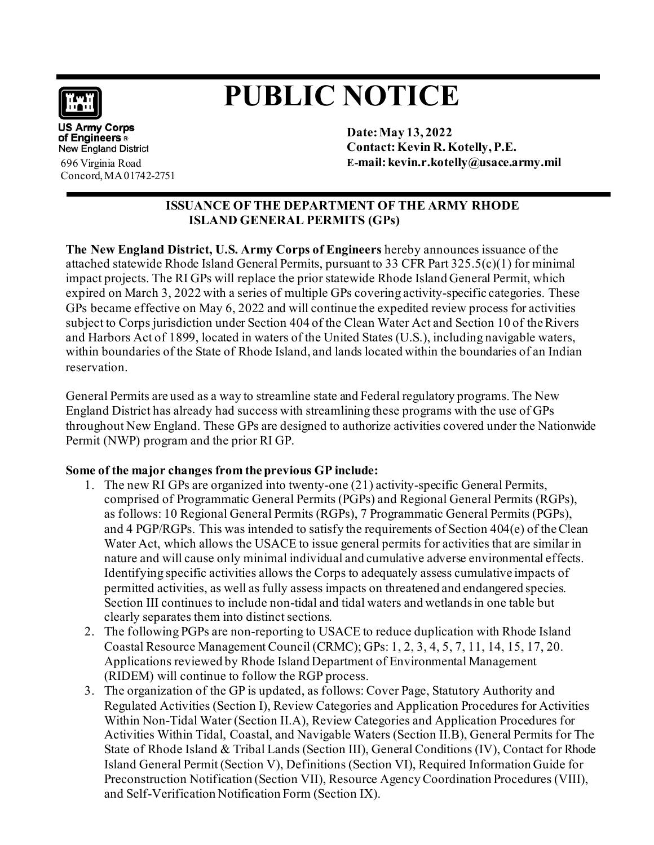

## **PUBLIC NOTICE**

**US Army Corps** of Engineers & **New England District** 696 Virginia Road Concord,MA01742-2751

**Date:May 13, 2022 Contact:Kevin R.Kotelly,P.E. E-mail[:kevin.r.kotelly@usace.army.mil](mailto:kevin.r.kotelly@usace.army.mil)**

## **ISSUANCE OF THE DEPARTMENT OF THE ARMY RHODE ISLAND GENERAL PERMITS (GPs)**

**The New England District, U.S. Army Corps of Engineers** hereby announces issuance of the attached statewide Rhode Island General Permits, pursuant to 33 CFR Part 325.5(c)(1) for minimal impact projects. The RI GPs will replace the prior statewide Rhode Island General Permit, which expired on March 3, 2022 with a series of multiple GPs covering activity-specific categories. These GPs became effective on May 6, 2022 and will continue the expedited review process for activities subject to Corps jurisdiction under Section 404 of the Clean Water Act and Section 10 of the Rivers and Harbors Act of 1899, located in waters of the United States (U.S.), including navigable waters, within boundaries of the State of Rhode Island, and lands located within the boundaries of an Indian reservation.

General Permits are used as a way to streamline state and Federal regulatory programs.The New England District has already had success with streamlining these programs with the use of GPs throughout New England. These GPs are designed to authorize activities covered under the Nationwide Permit (NWP) program and the prior RI GP.

## **Some of the major changes from the previous GP include:**

- 1. The new RI GPs are organized into twenty-one (21) activity-specific General Permits, comprised of Programmatic General Permits (PGPs) and Regional General Permits (RGPs), as follows: 10 Regional General Permits (RGPs), 7 Programmatic General Permits (PGPs), and 4 PGP/RGPs. This was intended to satisfy the requirements of Section 404(e) of theClean Water Act, which allows the USACE to issue general permits for activities that are similar in nature and will cause only minimal individual and cumulative adverse environmental effects. Identifying specific activities allows the Corps to adequately assess cumulative impacts of permitted activities, as well as fully assess impacts on threatened and endangered species. Section III continues to include non-tidal and tidal waters and wetlands in one table but clearly separates them into distinct sections.
- 2. The following PGPs are non-reporting to USACE to reduce duplication with Rhode Island Coastal Resource Management Council (CRMC); GPs: 1, 2, 3, 4, 5, 7, 11, 14, 15, 17, 20. Applications reviewed by Rhode Island Department of Environmental Management (RIDEM) will continue to follow the RGP process.
- 3. The organization of the GP is updated, as follows: Cover Page, Statutory Authority and Regulated Activities (Section I), Review Categories and Application Procedures for Activities Within Non-Tidal Water (Section II.A), Review Categories and Application Procedures for Activities Within Tidal, Coastal, and Navigable Waters (Section II.B), General Permits for The State of Rhode Island & Tribal Lands (Section III), General Conditions (IV), Contact for Rhode Island General Permit (Section V), Definitions (Section VI), Required Information Guide for Preconstruction Notification (Section VII), Resource Agency Coordination Procedures (VIII), and Self-Verification Notification Form (Section IX).